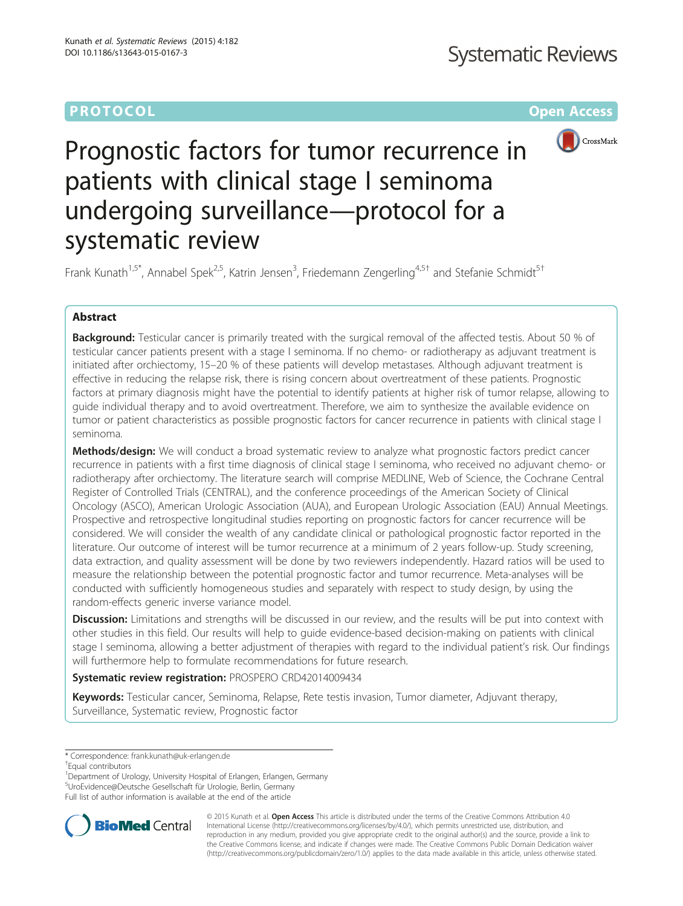# **PROTOCOL CONSUMING THE CONSUMING TEACHER CONSUMING THE CONSUMING TEACHER CONSUMING THE CONSUMING TEACHER CONSUMING**



Prognostic factors for tumor recurrence in patients with clinical stage I seminoma undergoing surveillance—protocol for a systematic review

Frank Kunath<sup>1,5\*</sup>, Annabel Spek<sup>2,5</sup>, Katrin Jensen<sup>3</sup>, Friedemann Zengerling<sup>4,5†</sup> and Stefanie Schmidt<sup>5†</sup>

# Abstract

Background: Testicular cancer is primarily treated with the surgical removal of the affected testis. About 50 % of testicular cancer patients present with a stage I seminoma. If no chemo- or radiotherapy as adjuvant treatment is initiated after orchiectomy, 15–20 % of these patients will develop metastases. Although adjuvant treatment is effective in reducing the relapse risk, there is rising concern about overtreatment of these patients. Prognostic factors at primary diagnosis might have the potential to identify patients at higher risk of tumor relapse, allowing to guide individual therapy and to avoid overtreatment. Therefore, we aim to synthesize the available evidence on tumor or patient characteristics as possible prognostic factors for cancer recurrence in patients with clinical stage I seminoma.

**Methods/design:** We will conduct a broad systematic review to analyze what prognostic factors predict cancer recurrence in patients with a first time diagnosis of clinical stage I seminoma, who received no adjuvant chemo- or radiotherapy after orchiectomy. The literature search will comprise MEDLINE, Web of Science, the Cochrane Central Register of Controlled Trials (CENTRAL), and the conference proceedings of the American Society of Clinical Oncology (ASCO), American Urologic Association (AUA), and European Urologic Association (EAU) Annual Meetings. Prospective and retrospective longitudinal studies reporting on prognostic factors for cancer recurrence will be considered. We will consider the wealth of any candidate clinical or pathological prognostic factor reported in the literature. Our outcome of interest will be tumor recurrence at a minimum of 2 years follow-up. Study screening, data extraction, and quality assessment will be done by two reviewers independently. Hazard ratios will be used to measure the relationship between the potential prognostic factor and tumor recurrence. Meta-analyses will be conducted with sufficiently homogeneous studies and separately with respect to study design, by using the random-effects generic inverse variance model.

Discussion: Limitations and strengths will be discussed in our review, and the results will be put into context with other studies in this field. Our results will help to guide evidence-based decision-making on patients with clinical stage I seminoma, allowing a better adjustment of therapies with regard to the individual patient's risk. Our findings will furthermore help to formulate recommendations for future research.

Systematic review registration: PROSPERO CRD42014009434

Keywords: Testicular cancer, Seminoma, Relapse, Rete testis invasion, Tumor diameter, Adjuvant therapy, Surveillance, Systematic review, Prognostic factor

<sup>1</sup>Department of Urology, University Hospital of Erlangen, Erlangen, Germany

Full list of author information is available at the end of the article



© 2015 Kunath et al. Open Access This article is distributed under the terms of the Creative Commons Attribution 4.0 International License [\(http://creativecommons.org/licenses/by/4.0/](http://creativecommons.org/licenses/by/4.0/)), which permits unrestricted use, distribution, and reproduction in any medium, provided you give appropriate credit to the original author(s) and the source, provide a link to the Creative Commons license, and indicate if changes were made. The Creative Commons Public Domain Dedication waiver [\(http://creativecommons.org/publicdomain/zero/1.0/](http://creativecommons.org/publicdomain/zero/1.0/)) applies to the data made available in this article, unless otherwise stated.

<sup>\*</sup> Correspondence: [frank.kunath@uk-erlangen.de](mailto:frank.kunath@uk-erlangen.de) †

Equal contributors

<sup>5</sup> UroEvidence@Deutsche Gesellschaft für Urologie, Berlin, Germany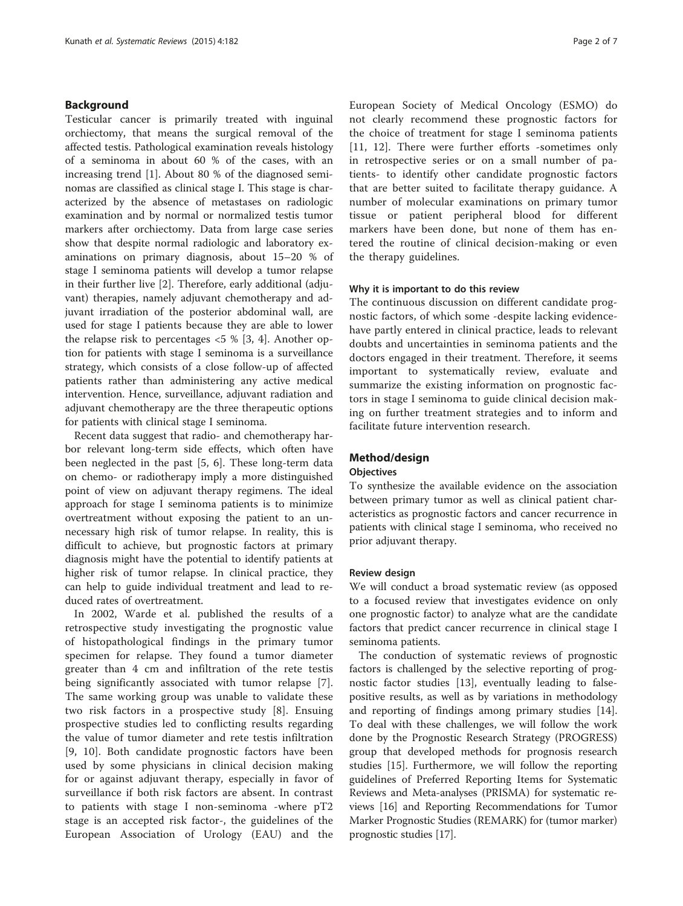# Background

Testicular cancer is primarily treated with inguinal orchiectomy, that means the surgical removal of the affected testis. Pathological examination reveals histology of a seminoma in about 60 % of the cases, with an increasing trend [[1\]](#page-5-0). About 80 % of the diagnosed seminomas are classified as clinical stage I. This stage is characterized by the absence of metastases on radiologic examination and by normal or normalized testis tumor markers after orchiectomy. Data from large case series show that despite normal radiologic and laboratory examinations on primary diagnosis, about 15–20 % of stage I seminoma patients will develop a tumor relapse in their further live [[2](#page-5-0)]. Therefore, early additional (adjuvant) therapies, namely adjuvant chemotherapy and adjuvant irradiation of the posterior abdominal wall, are used for stage I patients because they are able to lower the relapse risk to percentages  $<5$  % [[3](#page-5-0), [4](#page-5-0)]. Another option for patients with stage I seminoma is a surveillance strategy, which consists of a close follow-up of affected patients rather than administering any active medical intervention. Hence, surveillance, adjuvant radiation and adjuvant chemotherapy are the three therapeutic options for patients with clinical stage I seminoma.

Recent data suggest that radio- and chemotherapy harbor relevant long-term side effects, which often have been neglected in the past [\[5](#page-5-0), [6](#page-5-0)]. These long-term data on chemo- or radiotherapy imply a more distinguished point of view on adjuvant therapy regimens. The ideal approach for stage I seminoma patients is to minimize overtreatment without exposing the patient to an unnecessary high risk of tumor relapse. In reality, this is difficult to achieve, but prognostic factors at primary diagnosis might have the potential to identify patients at higher risk of tumor relapse. In clinical practice, they can help to guide individual treatment and lead to reduced rates of overtreatment.

In 2002, Warde et al. published the results of a retrospective study investigating the prognostic value of histopathological findings in the primary tumor specimen for relapse. They found a tumor diameter greater than 4 cm and infiltration of the rete testis being significantly associated with tumor relapse [\[7](#page-5-0)]. The same working group was unable to validate these two risk factors in a prospective study [[8](#page-5-0)]. Ensuing prospective studies led to conflicting results regarding the value of tumor diameter and rete testis infiltration [[9,](#page-5-0) [10\]](#page-6-0). Both candidate prognostic factors have been used by some physicians in clinical decision making for or against adjuvant therapy, especially in favor of surveillance if both risk factors are absent. In contrast to patients with stage I non-seminoma -where pT2 stage is an accepted risk factor-, the guidelines of the European Association of Urology (EAU) and the

European Society of Medical Oncology (ESMO) do not clearly recommend these prognostic factors for the choice of treatment for stage I seminoma patients [[11, 12\]](#page-6-0). There were further efforts -sometimes only in retrospective series or on a small number of patients- to identify other candidate prognostic factors that are better suited to facilitate therapy guidance. A number of molecular examinations on primary tumor tissue or patient peripheral blood for different markers have been done, but none of them has entered the routine of clinical decision-making or even the therapy guidelines.

### Why it is important to do this review

The continuous discussion on different candidate prognostic factors, of which some -despite lacking evidencehave partly entered in clinical practice, leads to relevant doubts and uncertainties in seminoma patients and the doctors engaged in their treatment. Therefore, it seems important to systematically review, evaluate and summarize the existing information on prognostic factors in stage I seminoma to guide clinical decision making on further treatment strategies and to inform and facilitate future intervention research.

# Method/design

#### **Objectives**

To synthesize the available evidence on the association between primary tumor as well as clinical patient characteristics as prognostic factors and cancer recurrence in patients with clinical stage I seminoma, who received no prior adjuvant therapy.

#### Review design

We will conduct a broad systematic review (as opposed to a focused review that investigates evidence on only one prognostic factor) to analyze what are the candidate factors that predict cancer recurrence in clinical stage I seminoma patients.

The conduction of systematic reviews of prognostic factors is challenged by the selective reporting of prognostic factor studies [[13\]](#page-6-0), eventually leading to falsepositive results, as well as by variations in methodology and reporting of findings among primary studies [\[14](#page-6-0)]. To deal with these challenges, we will follow the work done by the Prognostic Research Strategy (PROGRESS) group that developed methods for prognosis research studies [[15](#page-6-0)]. Furthermore, we will follow the reporting guidelines of Preferred Reporting Items for Systematic Reviews and Meta-analyses (PRISMA) for systematic reviews [\[16\]](#page-6-0) and Reporting Recommendations for Tumor Marker Prognostic Studies (REMARK) for (tumor marker) prognostic studies [[17\]](#page-6-0).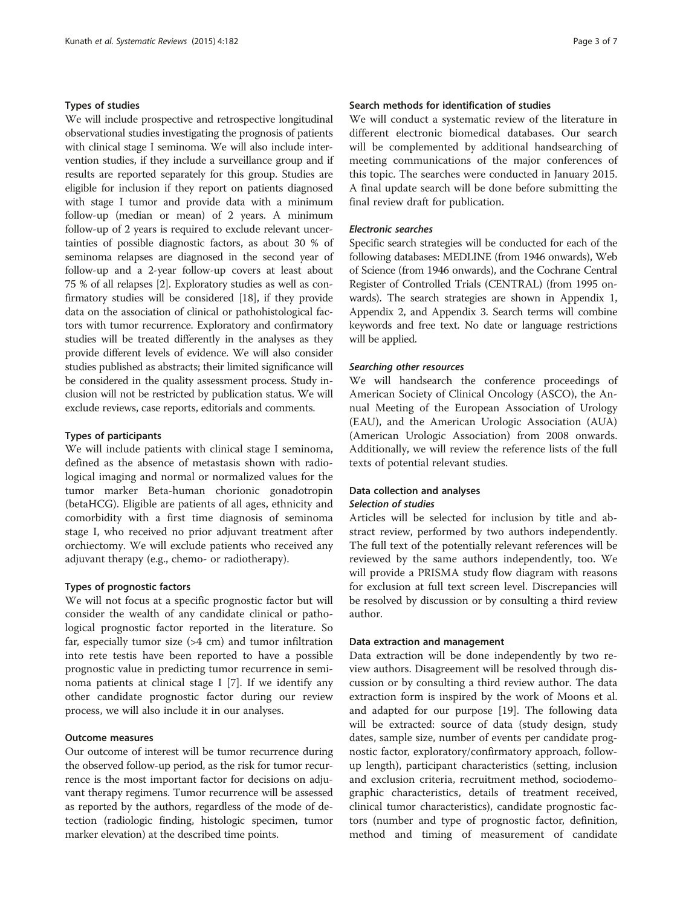# Types of studies

We will include prospective and retrospective longitudinal observational studies investigating the prognosis of patients with clinical stage I seminoma. We will also include intervention studies, if they include a surveillance group and if results are reported separately for this group. Studies are eligible for inclusion if they report on patients diagnosed with stage I tumor and provide data with a minimum follow-up (median or mean) of 2 years. A minimum follow-up of 2 years is required to exclude relevant uncertainties of possible diagnostic factors, as about 30 % of seminoma relapses are diagnosed in the second year of follow-up and a 2-year follow-up covers at least about 75 % of all relapses [\[2](#page-5-0)]. Exploratory studies as well as confirmatory studies will be considered [\[18\]](#page-6-0), if they provide data on the association of clinical or pathohistological factors with tumor recurrence. Exploratory and confirmatory studies will be treated differently in the analyses as they provide different levels of evidence. We will also consider studies published as abstracts; their limited significance will be considered in the quality assessment process. Study inclusion will not be restricted by publication status. We will exclude reviews, case reports, editorials and comments.

### Types of participants

We will include patients with clinical stage I seminoma, defined as the absence of metastasis shown with radiological imaging and normal or normalized values for the tumor marker Beta-human chorionic gonadotropin (betaHCG). Eligible are patients of all ages, ethnicity and comorbidity with a first time diagnosis of seminoma stage I, who received no prior adjuvant treatment after orchiectomy. We will exclude patients who received any adjuvant therapy (e.g., chemo- or radiotherapy).

# Types of prognostic factors

We will not focus at a specific prognostic factor but will consider the wealth of any candidate clinical or pathological prognostic factor reported in the literature. So far, especially tumor size (>4 cm) and tumor infiltration into rete testis have been reported to have a possible prognostic value in predicting tumor recurrence in seminoma patients at clinical stage I [\[7\]](#page-5-0). If we identify any other candidate prognostic factor during our review process, we will also include it in our analyses.

# Outcome measures

Our outcome of interest will be tumor recurrence during the observed follow-up period, as the risk for tumor recurrence is the most important factor for decisions on adjuvant therapy regimens. Tumor recurrence will be assessed as reported by the authors, regardless of the mode of detection (radiologic finding, histologic specimen, tumor marker elevation) at the described time points.

# Search methods for identification of studies

We will conduct a systematic review of the literature in different electronic biomedical databases. Our search will be complemented by additional handsearching of meeting communications of the major conferences of this topic. The searches were conducted in January 2015. A final update search will be done before submitting the final review draft for publication.

# Electronic searches

Specific search strategies will be conducted for each of the following databases: MEDLINE (from 1946 onwards), Web of Science (from 1946 onwards), and the Cochrane Central Register of Controlled Trials (CENTRAL) (from 1995 onwards). The search strategies are shown in [Appendix 1](#page-5-0), [Appendix 2](#page-5-0), and [Appendix 3.](#page-5-0) Search terms will combine keywords and free text. No date or language restrictions will be applied.

#### Searching other resources

We will handsearch the conference proceedings of American Society of Clinical Oncology (ASCO), the Annual Meeting of the European Association of Urology (EAU), and the American Urologic Association (AUA) (American Urologic Association) from 2008 onwards. Additionally, we will review the reference lists of the full texts of potential relevant studies.

# Data collection and analyses Selection of studies

Articles will be selected for inclusion by title and abstract review, performed by two authors independently. The full text of the potentially relevant references will be reviewed by the same authors independently, too. We will provide a PRISMA study flow diagram with reasons for exclusion at full text screen level. Discrepancies will be resolved by discussion or by consulting a third review author.

#### Data extraction and management

Data extraction will be done independently by two review authors. Disagreement will be resolved through discussion or by consulting a third review author. The data extraction form is inspired by the work of Moons et al. and adapted for our purpose [[19\]](#page-6-0). The following data will be extracted: source of data (study design, study dates, sample size, number of events per candidate prognostic factor, exploratory/confirmatory approach, followup length), participant characteristics (setting, inclusion and exclusion criteria, recruitment method, sociodemographic characteristics, details of treatment received, clinical tumor characteristics), candidate prognostic factors (number and type of prognostic factor, definition, method and timing of measurement of candidate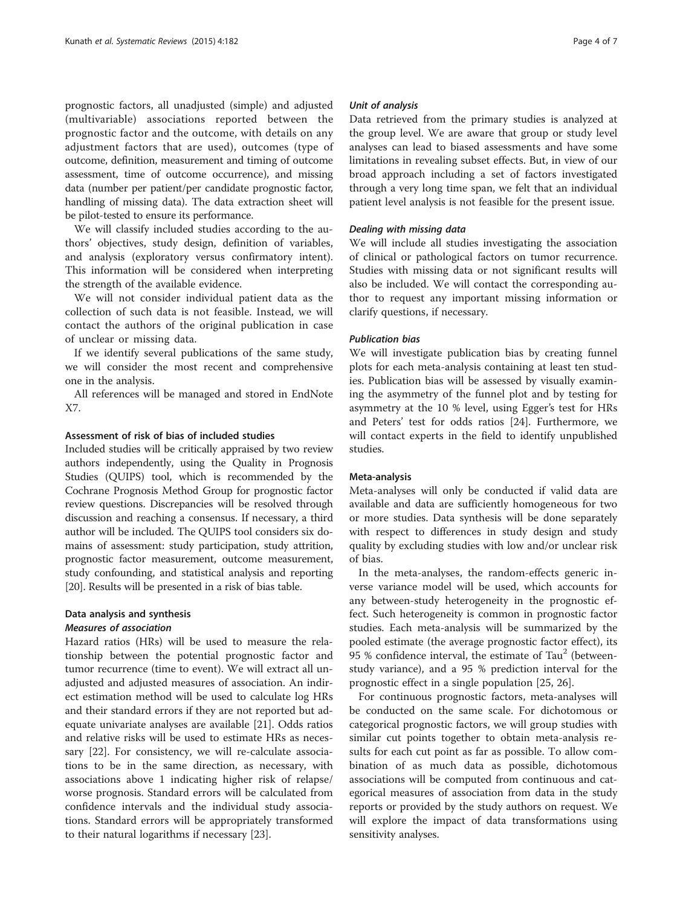prognostic factors, all unadjusted (simple) and adjusted (multivariable) associations reported between the prognostic factor and the outcome, with details on any adjustment factors that are used), outcomes (type of outcome, definition, measurement and timing of outcome assessment, time of outcome occurrence), and missing data (number per patient/per candidate prognostic factor, handling of missing data). The data extraction sheet will be pilot-tested to ensure its performance.

We will classify included studies according to the authors' objectives, study design, definition of variables, and analysis (exploratory versus confirmatory intent). This information will be considered when interpreting the strength of the available evidence.

We will not consider individual patient data as the collection of such data is not feasible. Instead, we will contact the authors of the original publication in case of unclear or missing data.

If we identify several publications of the same study, we will consider the most recent and comprehensive one in the analysis.

All references will be managed and stored in EndNote X7.

### Assessment of risk of bias of included studies

Included studies will be critically appraised by two review authors independently, using the Quality in Prognosis Studies (QUIPS) tool, which is recommended by the Cochrane Prognosis Method Group for prognostic factor review questions. Discrepancies will be resolved through discussion and reaching a consensus. If necessary, a third author will be included. The QUIPS tool considers six domains of assessment: study participation, study attrition, prognostic factor measurement, outcome measurement, study confounding, and statistical analysis and reporting [[20](#page-6-0)]. Results will be presented in a risk of bias table.

# Data analysis and synthesis Measures of association

Hazard ratios (HRs) will be used to measure the relationship between the potential prognostic factor and tumor recurrence (time to event). We will extract all unadjusted and adjusted measures of association. An indirect estimation method will be used to calculate log HRs and their standard errors if they are not reported but adequate univariate analyses are available [\[21\]](#page-6-0). Odds ratios and relative risks will be used to estimate HRs as necessary [[22](#page-6-0)]. For consistency, we will re-calculate associations to be in the same direction, as necessary, with associations above 1 indicating higher risk of relapse/ worse prognosis. Standard errors will be calculated from confidence intervals and the individual study associations. Standard errors will be appropriately transformed to their natural logarithms if necessary [\[23](#page-6-0)].

#### Unit of analysis

Data retrieved from the primary studies is analyzed at the group level. We are aware that group or study level analyses can lead to biased assessments and have some limitations in revealing subset effects. But, in view of our broad approach including a set of factors investigated through a very long time span, we felt that an individual patient level analysis is not feasible for the present issue.

# Dealing with missing data

We will include all studies investigating the association of clinical or pathological factors on tumor recurrence. Studies with missing data or not significant results will also be included. We will contact the corresponding author to request any important missing information or clarify questions, if necessary.

# Publication bias

We will investigate publication bias by creating funnel plots for each meta-analysis containing at least ten studies. Publication bias will be assessed by visually examining the asymmetry of the funnel plot and by testing for asymmetry at the 10 % level, using Egger's test for HRs and Peters' test for odds ratios [[24\]](#page-6-0). Furthermore, we will contact experts in the field to identify unpublished studies.

# Meta-analysis

Meta-analyses will only be conducted if valid data are available and data are sufficiently homogeneous for two or more studies. Data synthesis will be done separately with respect to differences in study design and study quality by excluding studies with low and/or unclear risk of bias.

In the meta-analyses, the random-effects generic inverse variance model will be used, which accounts for any between-study heterogeneity in the prognostic effect. Such heterogeneity is common in prognostic factor studies. Each meta-analysis will be summarized by the pooled estimate (the average prognostic factor effect), its 95 % confidence interval, the estimate of  $Tau^2$  (betweenstudy variance), and a 95 % prediction interval for the prognostic effect in a single population [[25, 26\]](#page-6-0).

For continuous prognostic factors, meta-analyses will be conducted on the same scale. For dichotomous or categorical prognostic factors, we will group studies with similar cut points together to obtain meta-analysis results for each cut point as far as possible. To allow combination of as much data as possible, dichotomous associations will be computed from continuous and categorical measures of association from data in the study reports or provided by the study authors on request. We will explore the impact of data transformations using sensitivity analyses.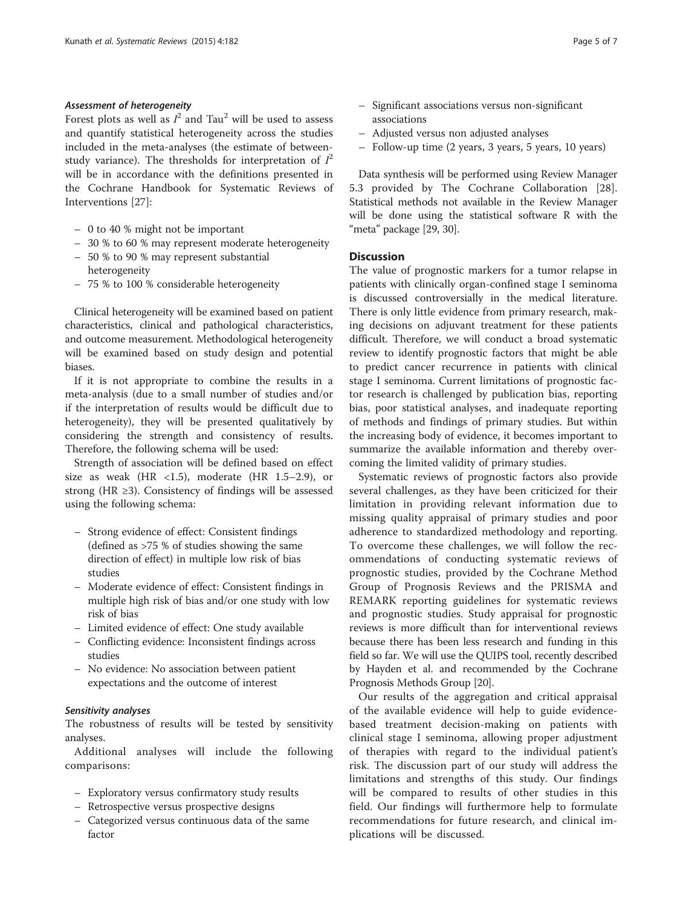# Assessment of heterogeneity

Forest plots as well as  $I^2$  and Tau<sup>2</sup> will be used to assess and quantify statistical heterogeneity across the studies included in the meta-analyses (the estimate of betweenstudy variance). The thresholds for interpretation of  $I^2$ will be in accordance with the definitions presented in the Cochrane Handbook for Systematic Reviews of Interventions [\[27](#page-6-0)]:

- 0 to 40 % might not be important
- 30 % to 60 % may represent moderate heterogeneity
- 50 % to 90 % may represent substantial heterogeneity
- 75 % to 100 % considerable heterogeneity

Clinical heterogeneity will be examined based on patient characteristics, clinical and pathological characteristics, and outcome measurement. Methodological heterogeneity will be examined based on study design and potential biases.

If it is not appropriate to combine the results in a meta-analysis (due to a small number of studies and/or if the interpretation of results would be difficult due to heterogeneity), they will be presented qualitatively by considering the strength and consistency of results. Therefore, the following schema will be used:

Strength of association will be defined based on effect size as weak (HR  $\langle$ 1.5), moderate (HR 1.5–2.9), or strong (HR ≥3). Consistency of findings will be assessed using the following schema:

- Strong evidence of effect: Consistent findings (defined as >75 % of studies showing the same direction of effect) in multiple low risk of bias studies
- Moderate evidence of effect: Consistent findings in multiple high risk of bias and/or one study with low risk of bias
- Limited evidence of effect: One study available
- Conflicting evidence: Inconsistent findings across studies
- No evidence: No association between patient expectations and the outcome of interest

# Sensitivity analyses

The robustness of results will be tested by sensitivity analyses.

Additional analyses will include the following comparisons:

- Exploratory versus confirmatory study results
- Retrospective versus prospective designs
- Categorized versus continuous data of the same factor
- Significant associations versus non-significant associations
- Adjusted versus non adjusted analyses
- Follow-up time (2 years, 3 years, 5 years, 10 years)

Data synthesis will be performed using Review Manager 5.3 provided by The Cochrane Collaboration [\[28](#page-6-0)]. Statistical methods not available in the Review Manager will be done using the statistical software R with the "meta" package [[29](#page-6-0), [30\]](#page-6-0).

# **Discussion**

The value of prognostic markers for a tumor relapse in patients with clinically organ-confined stage I seminoma is discussed controversially in the medical literature. There is only little evidence from primary research, making decisions on adjuvant treatment for these patients difficult. Therefore, we will conduct a broad systematic review to identify prognostic factors that might be able to predict cancer recurrence in patients with clinical stage I seminoma. Current limitations of prognostic factor research is challenged by publication bias, reporting bias, poor statistical analyses, and inadequate reporting of methods and findings of primary studies. But within the increasing body of evidence, it becomes important to summarize the available information and thereby overcoming the limited validity of primary studies.

Systematic reviews of prognostic factors also provide several challenges, as they have been criticized for their limitation in providing relevant information due to missing quality appraisal of primary studies and poor adherence to standardized methodology and reporting. To overcome these challenges, we will follow the recommendations of conducting systematic reviews of prognostic studies, provided by the Cochrane Method Group of Prognosis Reviews and the PRISMA and REMARK reporting guidelines for systematic reviews and prognostic studies. Study appraisal for prognostic reviews is more difficult than for interventional reviews because there has been less research and funding in this field so far. We will use the QUIPS tool, recently described by Hayden et al. and recommended by the Cochrane Prognosis Methods Group [\[20\]](#page-6-0).

Our results of the aggregation and critical appraisal of the available evidence will help to guide evidencebased treatment decision-making on patients with clinical stage I seminoma, allowing proper adjustment of therapies with regard to the individual patient's risk. The discussion part of our study will address the limitations and strengths of this study. Our findings will be compared to results of other studies in this field. Our findings will furthermore help to formulate recommendations for future research, and clinical implications will be discussed.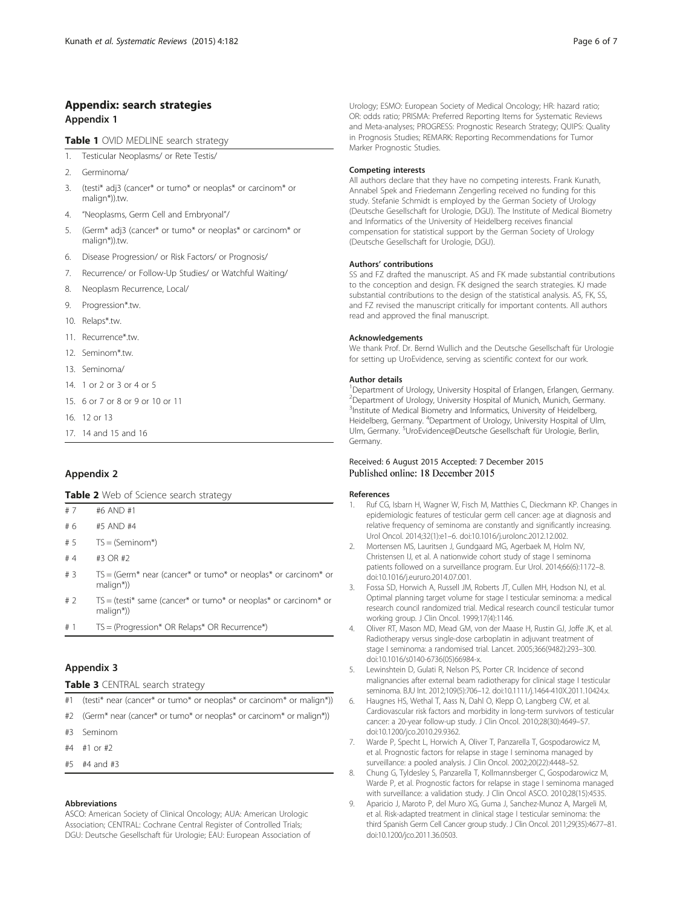# <span id="page-5-0"></span>Appendix: search strategies Appendix 1

#### Table 1 OVID MEDLINE search strategy

- 1. Testicular Neoplasms/ or Rete Testis/
- 2. Germinoma/
- 3. (testi\* adj3 (cancer\* or tumo\* or neoplas\* or carcinom\* or malign\*)).tw.
- 4. "Neoplasms, Germ Cell and Embryonal"/
- 5. (Germ\* adj3 (cancer\* or tumo\* or neoplas\* or carcinom\* or malign\*)).tw.
- 6. Disease Progression/ or Risk Factors/ or Prognosis/
- 7. Recurrence/ or Follow-Up Studies/ or Watchful Waiting/
- 8. Neoplasm Recurrence, Local/
- 9. Progression\*.tw.
- 10. Relaps\*.tw.
- 11. Recurrence\*.tw.
- 12. Seminom\* tw
- 13. Seminoma/
- 14. 1 or 2 or 3 or 4 or 5
- 15. 6 or 7 or 8 or 9 or 10 or 11
- 16. 12 or 13
- 17. 14 and 15 and 16

# Appendix 2

#### Table 2 Web of Science search strategy

- # 7 #6 AND #1
- # 6 #5 AND #4
- $# 5$  TS = (Seminom\*)
- # 4 #3 OR #2
- # 3 TS = (Germ\* near (cancer\* or tumo\* or neoplas\* or carcinom\* or malign\*))
- # 2 TS = (testi\* same (cancer\* or tumo\* or neoplas\* or carcinom\* or malign\*))
- # 1 TS = (Progression\* OR Relaps\* OR Recurrence\*)

# Appendix 3

#### Table 3 CENTRAL search strategy

| #1 (testi* near (cancer* or tumo* or neoplas* or carcinom* or malign*)) |
|-------------------------------------------------------------------------|
| #2 (Germ* near (cancer* or tumo* or neoplas* or carcinom* or malign*))  |

- #3 Seminom
- #4 #1 or #2
- #5 #4 and #3

#### Abbreviations

ASCO: American Society of Clinical Oncology; AUA: American Urologic Association; CENTRAL: Cochrane Central Register of Controlled Trials; DGU: Deutsche Gesellschaft für Urologie; EAU: European Association of Urology; ESMO: European Society of Medical Oncology; HR: hazard ratio; OR: odds ratio; PRISMA: Preferred Reporting Items for Systematic Reviews and Meta-analyses; PROGRESS: Prognostic Research Strategy; QUIPS: Quality in Prognosis Studies; REMARK: Reporting Recommendations for Tumor Marker Prognostic Studies.

#### Competing interests

All authors declare that they have no competing interests. Frank Kunath, Annabel Spek and Friedemann Zengerling received no funding for this study. Stefanie Schmidt is employed by the German Society of Urology (Deutsche Gesellschaft for Urologie, DGU). The Institute of Medical Biometry and Informatics of the University of Heidelberg receives financial compensation for statistical support by the German Society of Urology (Deutsche Gesellschaft for Urologie, DGU).

#### Authors' contributions

SS and FZ drafted the manuscript. AS and FK made substantial contributions to the conception and design. FK designed the search strategies. KJ made substantial contributions to the design of the statistical analysis. AS, FK, SS, and FZ revised the manuscript critically for important contents. All authors read and approved the final manuscript.

#### Acknowledgements

We thank Prof. Dr. Bernd Wullich and the Deutsche Gesellschaft für Urologie for setting up UroEvidence, serving as scientific context for our work.

#### Author details

<sup>1</sup> Department of Urology, University Hospital of Erlangen, Erlangen, Germany. <sup>2</sup> Department of Urology, University Hospital of Munich, Munich, Germany <sup>3</sup>Institute of Medical Biometry and Informatics, University of Heidelberg Heidelberg, Germany. <sup>4</sup>Department of Urology, University Hospital of Ulm Ulm, Germany. <sup>5</sup>UroEvidence@Deutsche Gesellschaft für Urologie, Berlin Germany.

# Received: 6 August 2015 Accepted: 7 December 2015 Published online: 18 December 2015

#### References

- 1. Ruf CG, Isbarn H, Wagner W, Fisch M, Matthies C, Dieckmann KP. Changes in epidemiologic features of testicular germ cell cancer: age at diagnosis and relative frequency of seminoma are constantly and significantly increasing. Urol Oncol. 2014;32(1):e1–6. doi[:10.1016/j.urolonc.2012.12.002](http://dx.doi.org/10.1016/j.urolonc.2012.12.002).
- 2. Mortensen MS, Lauritsen J, Gundgaard MG, Agerbaek M, Holm NV, Christensen IJ, et al. A nationwide cohort study of stage I seminoma patients followed on a surveillance program. Eur Urol. 2014;66(6):1172–8. doi[:10.1016/j.eururo.2014.07.001.](http://dx.doi.org/10.1016/j.eururo.2014.07.001)
- 3. Fossa SD, Horwich A, Russell JM, Roberts JT, Cullen MH, Hodson NJ, et al. Optimal planning target volume for stage I testicular seminoma: a medical research council randomized trial. Medical research council testicular tumor working group. J Clin Oncol. 1999;17(4):1146.
- 4. Oliver RT, Mason MD, Mead GM, von der Maase H, Rustin GJ, Joffe JK, et al. Radiotherapy versus single-dose carboplatin in adjuvant treatment of stage I seminoma: a randomised trial. Lancet. 2005;366(9482):293–300. doi[:10.1016/s0140-6736\(05\)66984-x.](http://dx.doi.org/10.1016/s0140-6736(05)66984-x)
- 5. Lewinshtein D, Gulati R, Nelson PS, Porter CR. Incidence of second malignancies after external beam radiotherapy for clinical stage I testicular seminoma. BJU Int. 2012;109(5):706–12. doi[:10.1111/j.1464-410X.2011.10424.x.](http://dx.doi.org/10.1111/j.1464-410X.2011.10424.x)
- 6. Haugnes HS, Wethal T, Aass N, Dahl O, Klepp O, Langberg CW, et al. Cardiovascular risk factors and morbidity in long-term survivors of testicular cancer: a 20-year follow-up study. J Clin Oncol. 2010;28(30):4649–57. doi[:10.1200/jco.2010.29.9362](http://dx.doi.org/10.1200/jco.2010.29.9362).
- 7. Warde P, Specht L, Horwich A, Oliver T, Panzarella T, Gospodarowicz M, et al. Prognostic factors for relapse in stage I seminoma managed by surveillance: a pooled analysis. J Clin Oncol. 2002;20(22):4448–52.
- 8. Chung G, Tyldesley S, Panzarella T, Kollmannsberger C, Gospodarowicz M, Warde P, et al. Prognostic factors for relapse in stage I seminoma managed with surveillance: a validation study. J Clin Oncol ASCO. 2010;28(15):4535.
- 9. Aparicio J, Maroto P, del Muro XG, Guma J, Sanchez-Munoz A, Margeli M, et al. Risk-adapted treatment in clinical stage I testicular seminoma: the third Spanish Germ Cell Cancer group study. J Clin Oncol. 2011;29(35):4677–81. doi:[10.1200/jco.2011.36.0503.](http://dx.doi.org/10.1200/jco.2011.36.0503)